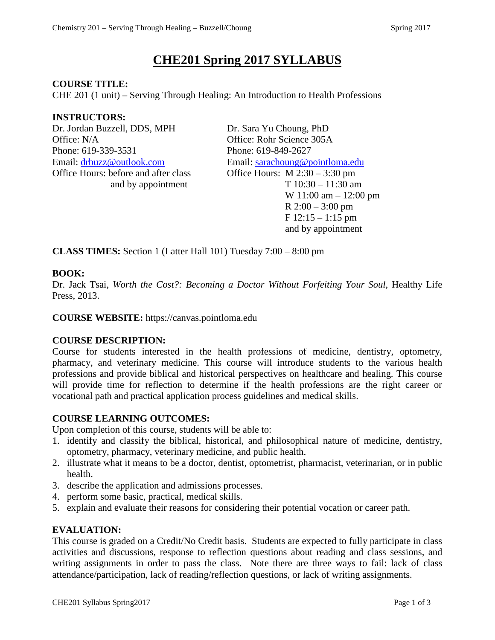# **CHE201 Spring 2017 SYLLABUS**

### **COURSE TITLE:**

CHE 201 (1 unit) – Serving Through Healing: An Introduction to Health Professions

### **INSTRUCTORS:**

Dr. Jordan Buzzell, DDS, MPH Dr. Sara Yu Choung, PhD Office: N/A Office: Rohr Science 305A Phone: 619-339-3531 Phone: 619-849-2627 Email: [drbuzz@outlook.com](mailto:drbuzz@outlook.com) Email: [sarachoung@pointloma.edu](mailto:sarachoung@pointloma.edu) Office Hours: before and after class Office Hours: M 2:30 – 3:30 pm

and by appointment  $T 10:30 - 11:30$  am W 11:00 am – 12:00 pm R 2:00 – 3:00 pm  $F$  12:15 – 1:15 pm and by appointment

**CLASS TIMES:** Section 1 (Latter Hall 101) Tuesday 7:00 – 8:00 pm

### **BOOK:**

Dr. Jack Tsai, *Worth the Cost?: Becoming a Doctor Without Forfeiting Your Soul*, Healthy Life Press, 2013.

**COURSE WEBSITE:** https://canvas.pointloma.edu

# **COURSE DESCRIPTION:**

Course for students interested in the health professions of medicine, dentistry, optometry, pharmacy, and veterinary medicine. This course will introduce students to the various health professions and provide biblical and historical perspectives on healthcare and healing. This course will provide time for reflection to determine if the health professions are the right career or vocational path and practical application process guidelines and medical skills.

#### **COURSE LEARNING OUTCOMES:**

Upon completion of this course, students will be able to:

- 1. identify and classify the biblical, historical, and philosophical nature of medicine, dentistry, optometry, pharmacy, veterinary medicine, and public health.
- 2. illustrate what it means to be a doctor, dentist, optometrist, pharmacist, veterinarian, or in public health.
- 3. describe the application and admissions processes.
- 4. perform some basic, practical, medical skills.
- 5. explain and evaluate their reasons for considering their potential vocation or career path.

# **EVALUATION:**

This course is graded on a Credit/No Credit basis. Students are expected to fully participate in class activities and discussions, response to reflection questions about reading and class sessions, and writing assignments in order to pass the class. Note there are three ways to fail: lack of class attendance/participation, lack of reading/reflection questions, or lack of writing assignments.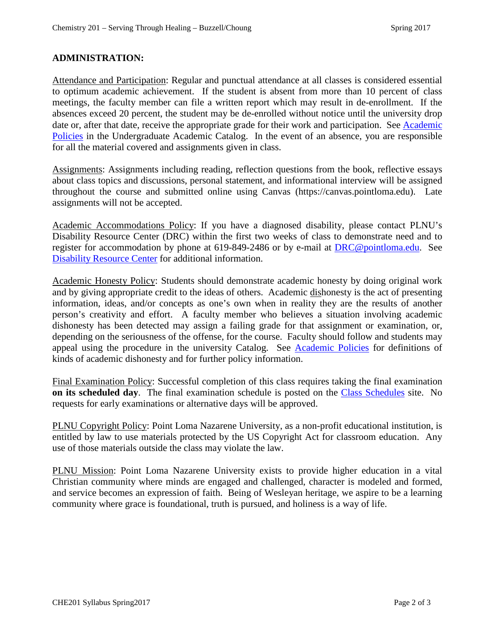## **ADMINISTRATION:**

Attendance and Participation: Regular and punctual attendance at all classes is considered essential to optimum academic achievement. If the student is absent from more than 10 percent of class meetings, the faculty member can file a written report which may result in de-enrollment. If the absences exceed 20 percent, the student may be de-enrolled without notice until the university drop date or, after that date, receive the appropriate grade for their work and participation. See Academic [Policies](http://catalog.pointloma.edu/content.php?catoid=18&navoid=1278) in the Undergraduate Academic Catalog. In the event of an absence, you are responsible for all the material covered and assignments given in class.

Assignments: Assignments including reading, reflection questions from the book, reflective essays about class topics and discussions, personal statement, and informational interview will be assigned throughout the course and submitted online using Canvas (https://canvas.pointloma.edu). Late assignments will not be accepted.

Academic Accommodations Policy: If you have a diagnosed disability, please contact PLNU's Disability Resource Center (DRC) within the first two weeks of class to demonstrate need and to register for accommodation by phone at 619-849-2486 or by e-mail at **DRC@pointloma.edu.** See [Disability Resource Center](http://www.pointloma.edu/experience/offices/administrative-offices/academic-advising-office/disability-resource-center) for additional information.

Academic Honesty Policy: Students should demonstrate academic honesty by doing original work and by giving appropriate credit to the ideas of others. Academic dishonesty is the act of presenting information, ideas, and/or concepts as one's own when in reality they are the results of another person's creativity and effort. A faculty member who believes a situation involving academic dishonesty has been detected may assign a failing grade for that assignment or examination, or, depending on the seriousness of the offense, for the course. Faculty should follow and students may appeal using the procedure in the university Catalog. See [Academic Policies](http://catalog.pointloma.edu/content.php?catoid=18&navoid=1278) for definitions of kinds of academic dishonesty and for further policy information.

Final Examination Policy: Successful completion of this class requires taking the final examination **on its scheduled day**. The final examination schedule is posted on the [Class Schedules](http://www.pointloma.edu/experience/academics/class-schedules) site. No requests for early examinations or alternative days will be approved.

PLNU Copyright Policy: Point Loma Nazarene University, as a non-profit educational institution, is entitled by law to use materials protected by the US Copyright Act for classroom education. Any use of those materials outside the class may violate the law.

PLNU Mission: Point Loma Nazarene University exists to provide higher education in a vital Christian community where minds are engaged and challenged, character is modeled and formed, and service becomes an expression of faith. Being of Wesleyan heritage, we aspire to be a learning community where grace is foundational, truth is pursued, and holiness is a way of life.